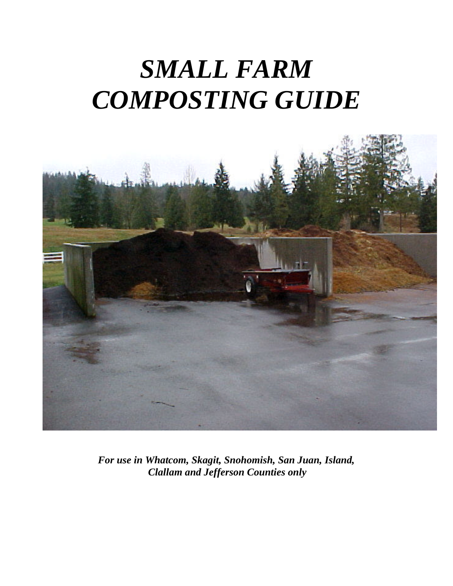# *SMALL FARM COMPOSTING GUIDE*



*For use in Whatcom, Skagit, Snohomish, San Juan, Island, Clallam and Jefferson Counties only*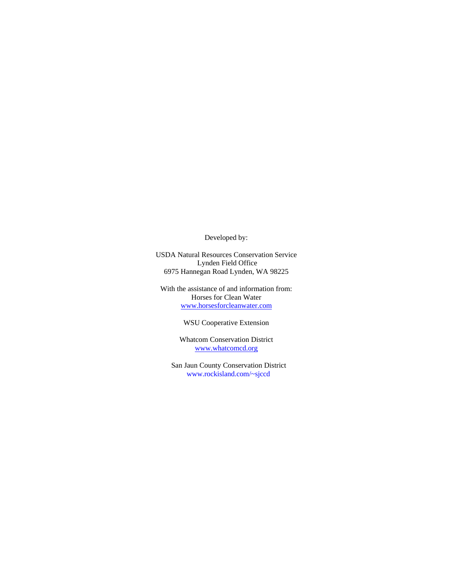Developed by:

USDA Natural Resources Conservation Service Lynden Field Office 6975 Hannegan Road Lynden, WA 98225

With the assistance of and information from: Horses for Clean Water www.horsesforcleanwater.com

WSU Cooperative Extension

Whatcom Conservation District www.whatcomcd.org

San Jaun County Conservation District www.rockisland.com/~sjccd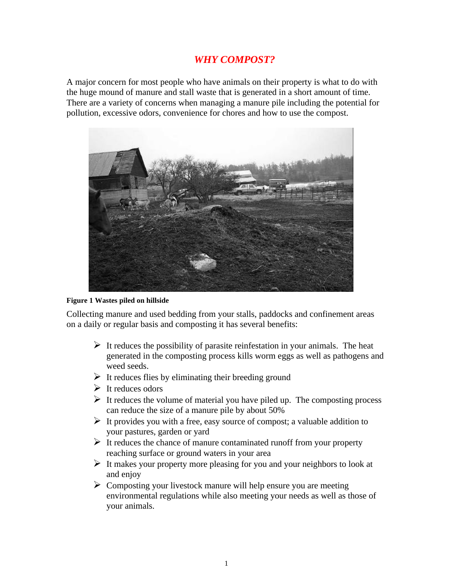#### *WHY COMPOST?*

A major concern for most people who have animals on their property is what to do with the huge mound of manure and stall waste that is generated in a short amount of time. There are a variety of concerns when managing a manure pile including the potential for pollution, excessive odors, convenience for chores and how to use the compost.



#### **Figure 1 Wastes piled on hillside**

Collecting manure and used bedding from your stalls, paddocks and confinement areas on a daily or regular basis and composting it has several benefits:

- $\triangleright$  It reduces the possibility of parasite reinfestation in your animals. The heat generated in the composting process kills worm eggs as well as pathogens and weed seeds.
- $\triangleright$  It reduces flies by eliminating their breeding ground
- $\triangleright$  It reduces odors
- $\triangleright$  It reduces the volume of material you have piled up. The composting process can reduce the size of a manure pile by about 50%
- $\triangleright$  It provides you with a free, easy source of compost; a valuable addition to your pastures, garden or yard
- $\triangleright$  It reduces the chance of manure contaminated runoff from your property reaching surface or ground waters in your area
- $\triangleright$  It makes your property more pleasing for you and your neighbors to look at and enjoy
- $\triangleright$  Composting your livestock manure will help ensure you are meeting environmental regulations while also meeting your needs as well as those of your animals.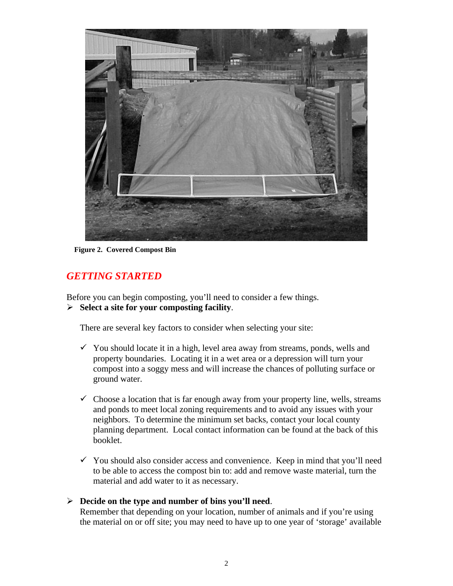

**Figure 2. Covered Compost Bin**

### *GETTING STARTED*

Before you can begin composting, you'll need to consider a few things. ÿ **Select a site for your composting facility**.

There are several key factors to consider when selecting your site:

- $\checkmark$  You should locate it in a high, level area away from streams, ponds, wells and property boundaries. Locating it in a wet area or a depression will turn your compost into a soggy mess and will increase the chances of polluting surface or ground water.
- $\checkmark$  Choose a location that is far enough away from your property line, wells, streams and ponds to meet local zoning requirements and to avoid any issues with your neighbors. To determine the minimum set backs, contact your local county planning department. Local contact information can be found at the back of this booklet.
- $\checkmark$  You should also consider access and convenience. Keep in mind that you'll need to be able to access the compost bin to: add and remove waste material, turn the material and add water to it as necessary.

#### ÿ **Decide on the type and number of bins you'll need**.

Remember that depending on your location, number of animals and if you're using the material on or off site; you may need to have up to one year of 'storage' available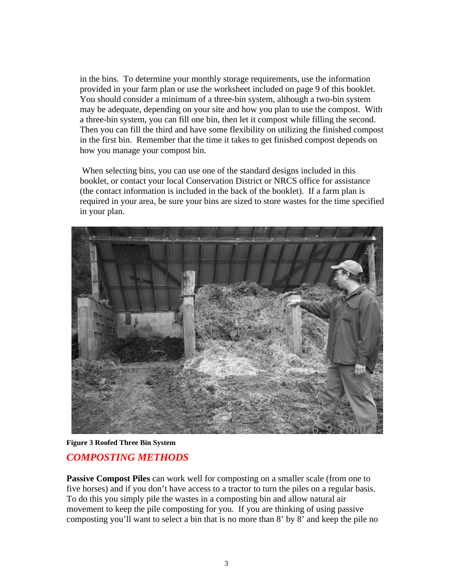in the bins. To determine your monthly storage requirements, use the information provided in your farm plan or use the worksheet included on page 9 of this booklet. You should consider a minimum of a three-bin system, although a two-bin system may be adequate, depending on your site and how you plan to use the compost. With a three-bin system, you can fill one bin, then let it compost while filling the second. Then you can fill the third and have some flexibility on utilizing the finished compost in the first bin. Remember that the time it takes to get finished compost depends on how you manage your compost bin.

 When selecting bins, you can use one of the standard designs included in this booklet, or contact your local Conservation District or NRCS office for assistance (the contact information is included in the back of the booklet). If a farm plan is required in your area, be sure your bins are sized to store wastes for the time specified in your plan.



**Figure 3 Roofed Three Bin System**

#### *COMPOSTING METHODS*

**Passive Compost Piles** can work well for composting on a smaller scale (from one to five horses) and if you don't have access to a tractor to turn the piles on a regular basis. To do this you simply pile the wastes in a composting bin and allow natural air movement to keep the pile composting for you. If you are thinking of using passive composting you'll want to select a bin that is no more than 8' by 8' and keep the pile no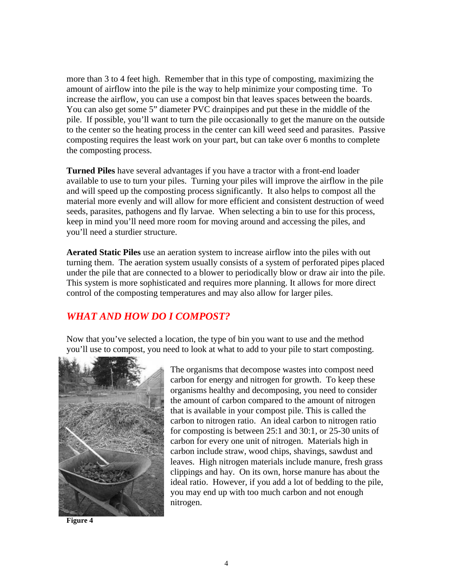more than 3 to 4 feet high. Remember that in this type of composting, maximizing the amount of airflow into the pile is the way to help minimize your composting time. To increase the airflow, you can use a compost bin that leaves spaces between the boards. You can also get some 5" diameter PVC drainpipes and put these in the middle of the pile. If possible, you'll want to turn the pile occasionally to get the manure on the outside to the center so the heating process in the center can kill weed seed and parasites. Passive composting requires the least work on your part, but can take over 6 months to complete the composting process.

**Turned Piles** have several advantages if you have a tractor with a front-end loader available to use to turn your piles. Turning your piles will improve the airflow in the pile and will speed up the composting process significantly. It also helps to compost all the material more evenly and will allow for more efficient and consistent destruction of weed seeds, parasites, pathogens and fly larvae. When selecting a bin to use for this process, keep in mind you'll need more room for moving around and accessing the piles, and you'll need a sturdier structure.

**Aerated Static Piles** use an aeration system to increase airflow into the piles with out turning them. The aeration system usually consists of a system of perforated pipes placed under the pile that are connected to a blower to periodically blow or draw air into the pile. This system is more sophisticated and requires more planning. It allows for more direct control of the composting temperatures and may also allow for larger piles.

#### *WHAT AND HOW DO I COMPOST?*

Now that you've selected a location, the type of bin you want to use and the method you'll use to compost, you need to look at what to add to your pile to start composting.



**Figure 4**

The organisms that decompose wastes into compost need carbon for energy and nitrogen for growth. To keep these organisms healthy and decomposing, you need to consider the amount of carbon compared to the amount of nitrogen that is available in your compost pile. This is called the carbon to nitrogen ratio. An ideal carbon to nitrogen ratio for composting is between 25:1 and 30:1, or 25-30 units of carbon for every one unit of nitrogen. Materials high in carbon include straw, wood chips, shavings, sawdust and leaves. High nitrogen materials include manure, fresh grass clippings and hay. On its own, horse manure has about the ideal ratio. However, if you add a lot of bedding to the pile, you may end up with too much carbon and not enough nitrogen.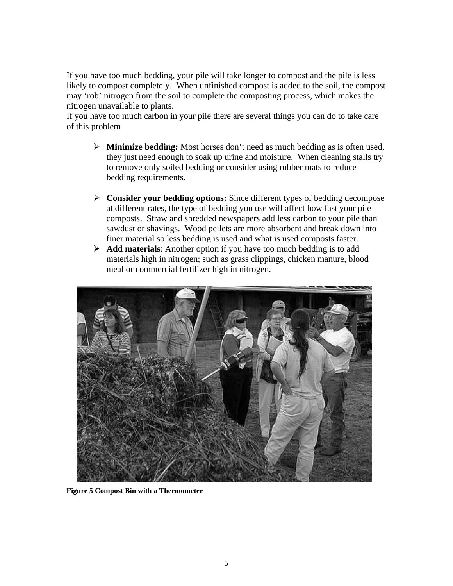If you have too much bedding, your pile will take longer to compost and the pile is less likely to compost completely. When unfinished compost is added to the soil, the compost may 'rob' nitrogen from the soil to complete the composting process, which makes the nitrogen unavailable to plants.

If you have too much carbon in your pile there are several things you can do to take care of this problem

- ÿ **Minimize bedding:** Most horses don't need as much bedding as is often used, they just need enough to soak up urine and moisture. When cleaning stalls try to remove only soiled bedding or consider using rubber mats to reduce bedding requirements.
- ÿ **Consider your bedding options:** Since different types of bedding decompose at different rates, the type of bedding you use will affect how fast your pile composts. Straw and shredded newspapers add less carbon to your pile than sawdust or shavings. Wood pellets are more absorbent and break down into finer material so less bedding is used and what is used composts faster.
- ÿ **Add materials**: Another option if you have too much bedding is to add materials high in nitrogen; such as grass clippings, chicken manure, blood meal or commercial fertilizer high in nitrogen.



**Figure 5 Compost Bin with a Thermometer**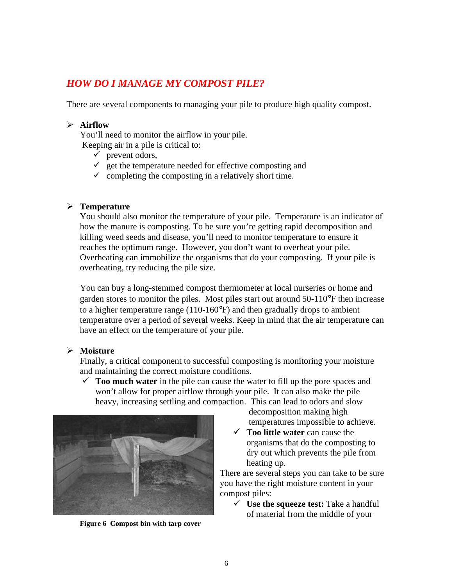# *HOW DO I MANAGE MY COMPOST PILE?*

There are several components to managing your pile to produce high quality compost.

#### ÿ **Airflow**

You'll need to monitor the airflow in your pile.

Keeping air in a pile is critical to:

- $\checkmark$  prevent odors,
- $\checkmark$  get the temperature needed for effective composting and
- $\checkmark$  completing the composting in a relatively short time.

#### ÿ **Temperature**

You should also monitor the temperature of your pile. Temperature is an indicator of how the manure is composting. To be sure you're getting rapid decomposition and killing weed seeds and disease, you'll need to monitor temperature to ensure it reaches the optimum range. However, you don't want to overheat your pile. Overheating can immobilize the organisms that do your composting. If your pile is overheating, try reducing the pile size.

You can buy a long-stemmed compost thermometer at local nurseries or home and garden stores to monitor the piles. Most piles start out around 50-110°F then increase to a higher temperature range (110-160°F) and then gradually drops to ambient temperature over a period of several weeks. Keep in mind that the air temperature can have an effect on the temperature of your pile.

#### ÿ **Moisture**

Finally, a critical component to successful composting is monitoring your moisture and maintaining the correct moisture conditions.

 $\checkmark$  **Too much water** in the pile can cause the water to fill up the pore spaces and won't allow for proper airflow through your pile. It can also make the pile heavy, increasing settling and compaction. This can lead to odors and slow



**Figure 6 Compost bin with tarp cover**

decomposition making high temperatures impossible to achieve.

¸ **Too little water** can cause the organisms that do the composting to dry out which prevents the pile from heating up.

There are several steps you can take to be sure you have the right moisture content in your compost piles:

¸ **Use the squeeze test:** Take a handful of material from the middle of your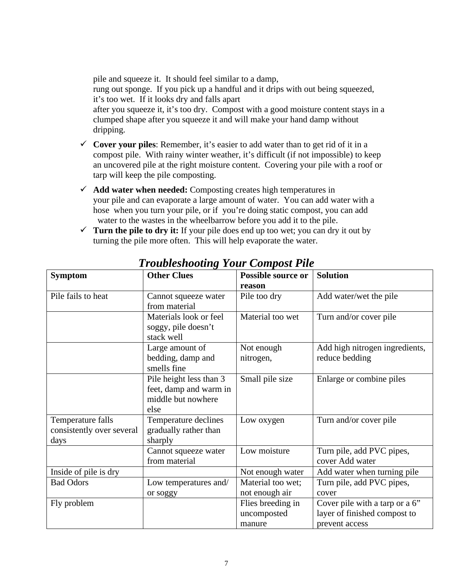pile and squeeze it. It should feel similar to a damp,

rung out sponge. If you pick up a handful and it drips with out being squeezed, it's too wet. If it looks dry and falls apart

after you squeeze it, it's too dry. Compost with a good moisture content stays in a clumped shape after you squeeze it and will make your hand damp without dripping.

- $\checkmark$  Cover your piles: Remember, it's easier to add water than to get rid of it in a compost pile. With rainy winter weather, it's difficult (if not impossible) to keep an uncovered pile at the right moisture content. Covering your pile with a roof or tarp will keep the pile composting.
- ¸ **Add water when needed:** Composting creates high temperatures in your pile and can evaporate a large amount of water. You can add water with a hose when you turn your pile, or if you're doing static compost, you can add water to the wastes in the wheelbarrow before you add it to the pile.
- $\checkmark$  **Turn the pile to dry it:** If your pile does end up too wet; you can dry it out by turning the pile more often. This will help evaporate the water.

| <b>Symptom</b>            | <b>Other Clues</b>      | Possible source or | <b>Solution</b>                |
|---------------------------|-------------------------|--------------------|--------------------------------|
|                           |                         | reason             |                                |
| Pile fails to heat        | Cannot squeeze water    | Pile too dry       | Add water/wet the pile         |
|                           | from material           |                    |                                |
|                           | Materials look or feel  | Material too wet   | Turn and/or cover pile         |
|                           | soggy, pile doesn't     |                    |                                |
|                           | stack well              |                    |                                |
|                           | Large amount of         | Not enough         | Add high nitrogen ingredients, |
|                           | bedding, damp and       | nitrogen,          | reduce bedding                 |
|                           | smells fine             |                    |                                |
|                           | Pile height less than 3 | Small pile size    | Enlarge or combine piles       |
|                           | feet, damp and warm in  |                    |                                |
|                           | middle but nowhere      |                    |                                |
|                           | else                    |                    |                                |
| Temperature falls         | Temperature declines    | Low oxygen         | Turn and/or cover pile         |
| consistently over several | gradually rather than   |                    |                                |
| days                      | sharply                 |                    |                                |
|                           | Cannot squeeze water    | Low moisture       | Turn pile, add PVC pipes,      |
|                           | from material           |                    | cover Add water                |
| Inside of pile is dry     |                         | Not enough water   | Add water when turning pile    |
| <b>Bad Odors</b>          | Low temperatures and/   | Material too wet;  | Turn pile, add PVC pipes,      |
|                           | or soggy                | not enough air     | cover                          |
| Fly problem               |                         | Flies breeding in  | Cover pile with a tarp or a 6" |
|                           |                         | uncomposted        | layer of finished compost to   |
|                           |                         | manure             | prevent access                 |

*Troubleshooting Your Compost Pile*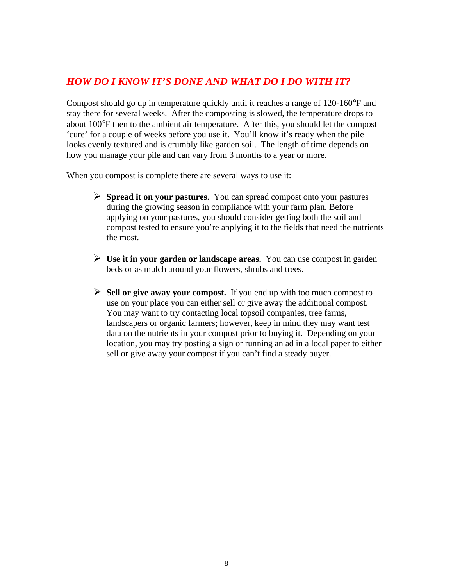#### *HOW DO I KNOW IT'S DONE AND WHAT DO I DO WITH IT?*

Compost should go up in temperature quickly until it reaches a range of 120-160°F and stay there for several weeks. After the composting is slowed, the temperature drops to about 100°F then to the ambient air temperature. After this, you should let the compost 'cure' for a couple of weeks before you use it. You'll know it's ready when the pile looks evenly textured and is crumbly like garden soil. The length of time depends on how you manage your pile and can vary from 3 months to a year or more.

When you compost is complete there are several ways to use it:

- ÿ **Spread it on your pastures**. You can spread compost onto your pastures during the growing season in compliance with your farm plan. Before applying on your pastures, you should consider getting both the soil and compost tested to ensure you're applying it to the fields that need the nutrients the most.
- $\triangleright$  Use it in your garden or landscape areas. You can use compost in garden beds or as mulch around your flowers, shrubs and trees.
- ÿ **Sell or give away your compost.** If you end up with too much compost to use on your place you can either sell or give away the additional compost. You may want to try contacting local topsoil companies, tree farms, landscapers or organic farmers; however, keep in mind they may want test data on the nutrients in your compost prior to buying it. Depending on your location, you may try posting a sign or running an ad in a local paper to either sell or give away your compost if you can't find a steady buyer.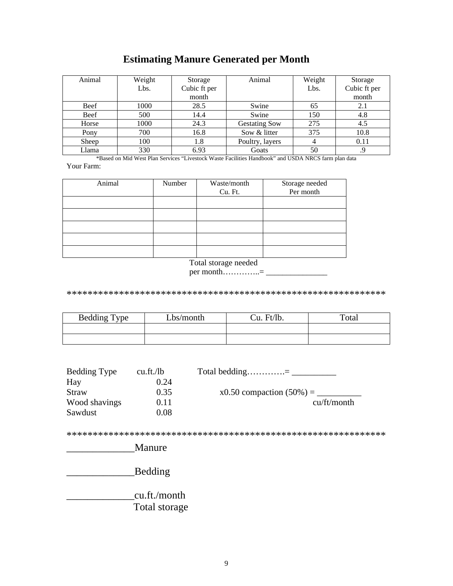# **Estimating Manure Generated per Month**

| Animal      | Weight | Storage      | Animal               | Weight | Storage      |
|-------------|--------|--------------|----------------------|--------|--------------|
|             | Lbs.   | Cubic ft per |                      | Lbs.   | Cubic ft per |
|             |        | month        |                      |        | month        |
| <b>Beef</b> | 1000   | 28.5         | Swine                | 65     | 2.1          |
| Beef        | 500    | 14.4         | Swine                | 150    | 4.8          |
| Horse       | 1000   | 24.3         | <b>Gestating Sow</b> | 275    | 4.5          |
| Pony        | 700    | 16.8         | Sow & litter         | 375    | 10.8         |
| Sheep       | 100    | 1.8          | Poultry, layers      |        | 0.11         |
| Llama       | 330    | 6.93         | Goats                | 50     |              |

\*Based on Mid West Plan Services "Livestock Waste Facilities Handbook" and USDA NRCS farm plan data Your Farm:

| Animal | Number | Waste/month | Storage needed<br>Per month |
|--------|--------|-------------|-----------------------------|
|        |        | Cu. Ft.     |                             |
|        |        |             |                             |
|        |        |             |                             |
|        |        |             |                             |
|        |        |             |                             |
|        |        |             |                             |

Total storage needed

per month..............=  $-$ 

| <b>Bedding Type</b> | Lbs/month | Cu. Ft/lb. | Total |
|---------------------|-----------|------------|-------|
|                     |           |            |       |
|                     |           |            |       |

| Bedding Type  | cu.ft./lb | Total bedding= $\frac{1}{\sqrt{1-\frac{1}{2}} \cdot \frac{1}{\sqrt{1-\frac{1}{2}} \cdot \frac{1}{\sqrt{1-\frac{1}{2}} \cdot \frac{1}{\sqrt{1-\frac{1}{2}} \cdot \frac{1}{\sqrt{1-\frac{1}{2}} \cdot \frac{1}{\sqrt{1-\frac{1}{2}} \cdot \frac{1}{\sqrt{1-\frac{1}{2}} \cdot \frac{1}{\sqrt{1-\frac{1}{2}} \cdot \frac{1}{\sqrt{1-\frac{1}{2}} \cdot \frac{1}{\sqrt{1-\frac{1}{2}} \cdot \frac{1}{\sqrt{1-\frac{$ |
|---------------|-----------|------------------------------------------------------------------------------------------------------------------------------------------------------------------------------------------------------------------------------------------------------------------------------------------------------------------------------------------------------------------------------------------------------------------|
| Hay           | 0.24      |                                                                                                                                                                                                                                                                                                                                                                                                                  |
| Straw         | 0.35      | $x0.50$ compaction $(50\%) = 0$                                                                                                                                                                                                                                                                                                                                                                                  |
| Wood shavings | 0.11      | cu/ft/month                                                                                                                                                                                                                                                                                                                                                                                                      |
| Sawdust       | $0.08\,$  |                                                                                                                                                                                                                                                                                                                                                                                                                  |

Bedding

\_cu.ft./month Total storage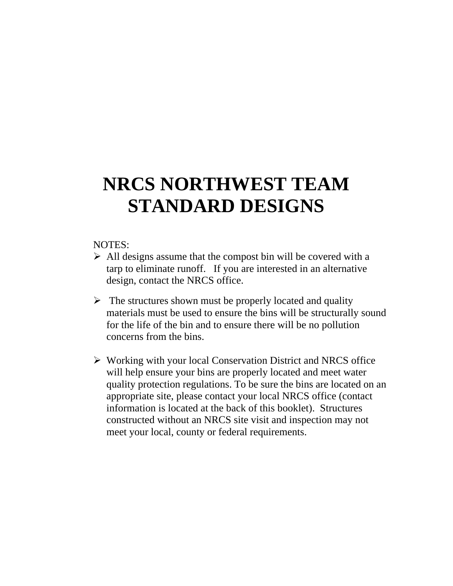# **NRCS NORTHWEST TEAM STANDARD DESIGNS**

#### NOTES:

- $\triangleright$  All designs assume that the compost bin will be covered with a tarp to eliminate runoff. If you are interested in an alternative design, contact the NRCS office.
- $\triangleright$  The structures shown must be properly located and quality materials must be used to ensure the bins will be structurally sound for the life of the bin and to ensure there will be no pollution concerns from the bins.
- $\triangleright$  Working with your local Conservation District and NRCS office will help ensure your bins are properly located and meet water quality protection regulations. To be sure the bins are located on an appropriate site, please contact your local NRCS office (contact information is located at the back of this booklet). Structures constructed without an NRCS site visit and inspection may not meet your local, county or federal requirements.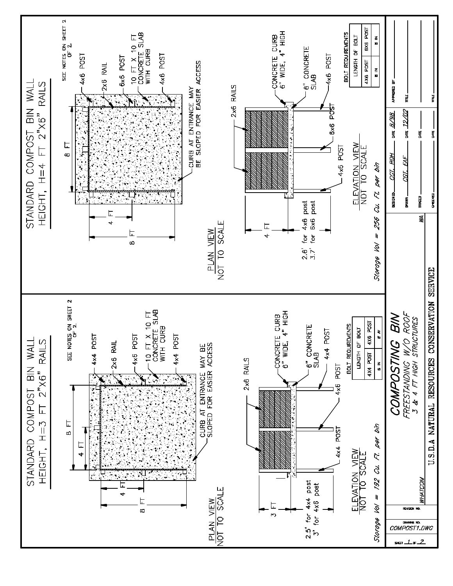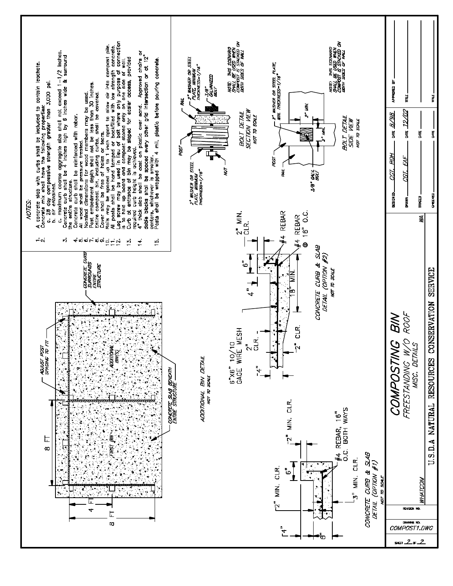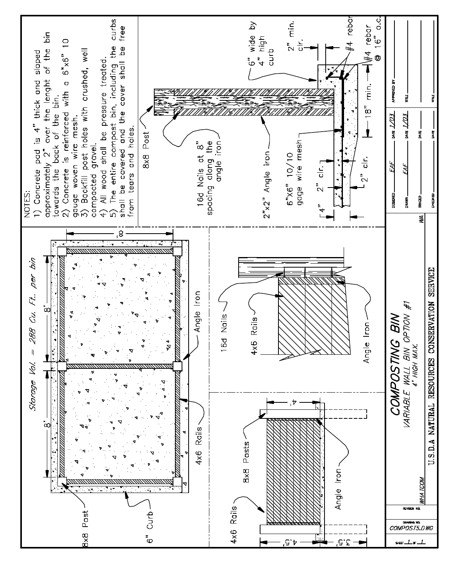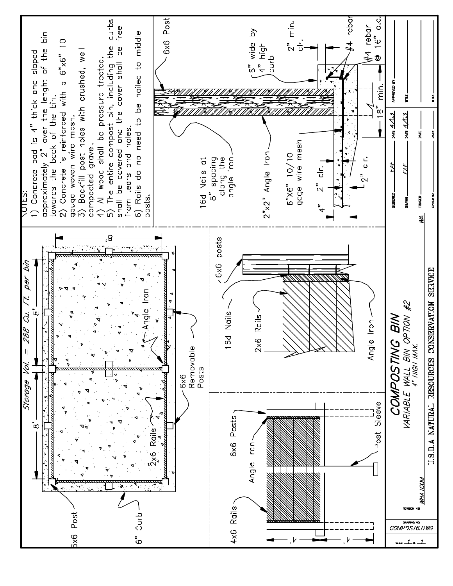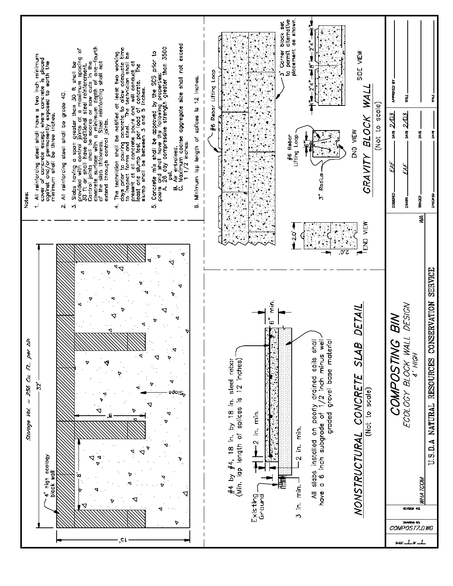